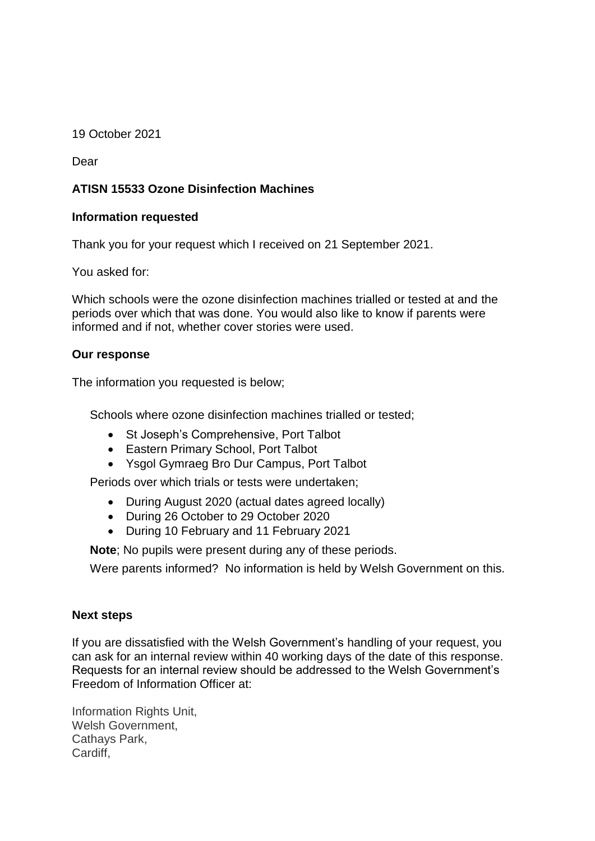19 October 2021

Dear

# **ATISN 15533 Ozone Disinfection Machines**

### **Information requested**

Thank you for your request which I received on 21 September 2021.

You asked for:

Which schools were the ozone disinfection machines trialled or tested at and the periods over which that was done. You would also like to know if parents were informed and if not, whether cover stories were used.

### **Our response**

The information you requested is below;

Schools where ozone disinfection machines trialled or tested;

- St Joseph's Comprehensive, Port Talbot
- Eastern Primary School, Port Talbot
- Ysgol Gymraeg Bro Dur Campus, Port Talbot

Periods over which trials or tests were undertaken;

- During August 2020 (actual dates agreed locally)
- During 26 October to 29 October 2020
- During 10 February and 11 February 2021

**Note**; No pupils were present during any of these periods.

Were parents informed? No information is held by Welsh Government on this.

#### **Next steps**

If you are dissatisfied with the Welsh Government's handling of your request, you can ask for an internal review within 40 working days of the date of this response. Requests for an internal review should be addressed to the Welsh Government's Freedom of Information Officer at:

Information Rights Unit, Welsh Government, Cathays Park, Cardiff,